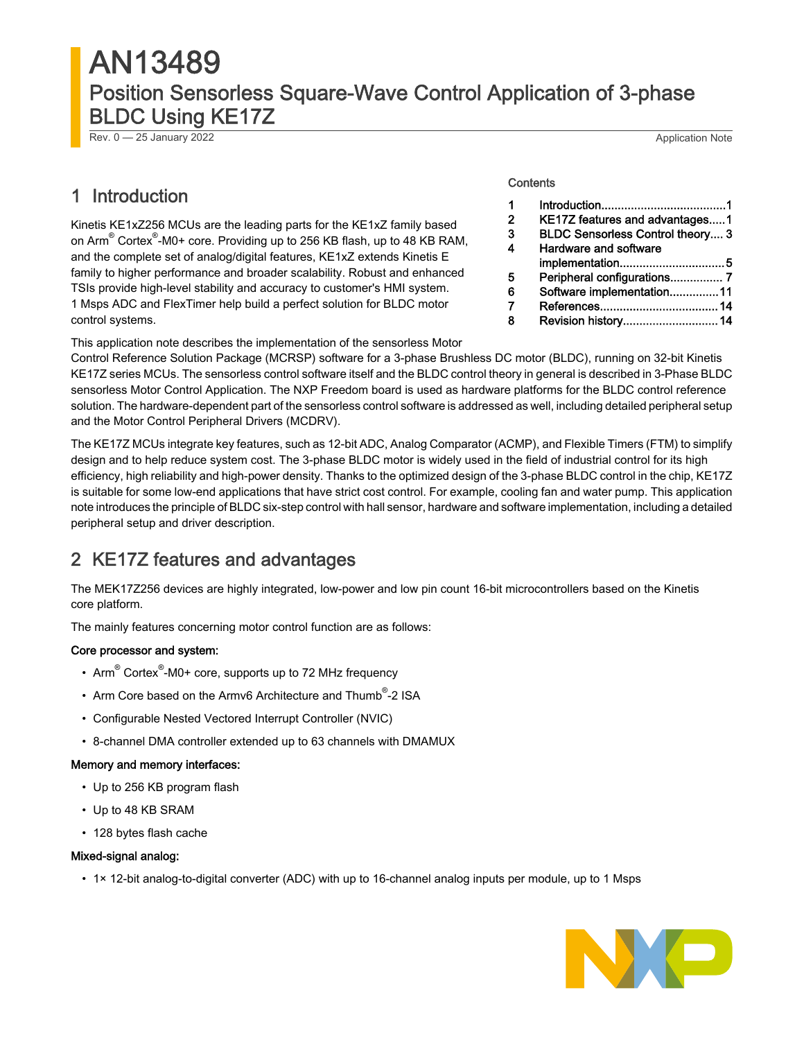# AN13489 Position Sensorless Square-Wave Control Application of 3-phase BLDC Using KE17Z

Rev. 0 — 25 January 2022 Application Note

# 1 Introduction

Kinetis KE1xZ256 MCUs are the leading parts for the KE1xZ family based on Arm<sup>®</sup> Cortex<sup>®</sup>-M0+ core. Providing up to 256 KB flash, up to 48 KB RAM, and the complete set of analog/digital features, KE1xZ extends Kinetis E family to higher performance and broader scalability. Robust and enhanced TSIs provide high-level stability and accuracy to customer's HMI system. 1 Msps ADC and FlexTimer help build a perfect solution for BLDC motor control systems.

#### **Contents**

| 1            |                                         |
|--------------|-----------------------------------------|
| $\mathbf{2}$ | KE17Z features and advantages1          |
| 3            | <b>BLDC Sensorless Control theory 3</b> |
| 4            | Hardware and software                   |
|              |                                         |
| 5            | Peripheral configurations 7             |
| 6            | Software implementation11               |
| 7            |                                         |
|              | Revision history 14                     |

This application note describes the implementation of the sensorless Motor

Control Reference Solution Package (MCRSP) software for a 3-phase Brushless DC motor (BLDC), running on 32-bit Kinetis KE17Z series MCUs. The sensorless control software itself and the BLDC control theory in general is described in 3-Phase BLDC sensorless Motor Control Application. The NXP Freedom board is used as hardware platforms for the BLDC control reference solution. The hardware-dependent part of the sensorless control software is addressed as well, including detailed peripheral setup and the Motor Control Peripheral Drivers (MCDRV).

The KE17Z MCUs integrate key features, such as 12-bit ADC, Analog Comparator (ACMP), and Flexible Timers (FTM) to simplify design and to help reduce system cost. The 3-phase BLDC motor is widely used in the field of industrial control for its high efficiency, high reliability and high-power density. Thanks to the optimized design of the 3-phase BLDC control in the chip, KE17Z is suitable for some low-end applications that have strict cost control. For example, cooling fan and water pump. This application note introduces the principle of BLDC six-step control with hall sensor, hardware and software implementation, including a detailed peripheral setup and driver description.

# 2 KE17Z features and advantages

The MEK17Z256 devices are highly integrated, low-power and low pin count 16-bit microcontrollers based on the Kinetis core platform.

The mainly features concerning motor control function are as follows:

#### Core processor and system:

- Arm<sup>®</sup> Cortex<sup>®</sup>-M0+ core, supports up to 72 MHz frequency
- Arm Core based on the Armv6 Architecture and Thumb<sup>®</sup>-2 ISA
- Configurable Nested Vectored Interrupt Controller (NVIC)
- 8-channel DMA controller extended up to 63 channels with DMAMUX

#### Memory and memory interfaces:

- Up to 256 KB program flash
- Up to 48 KB SRAM
- 128 bytes flash cache

#### Mixed-signal analog:

• 1× 12-bit analog-to-digital converter (ADC) with up to 16-channel analog inputs per module, up to 1 Msps

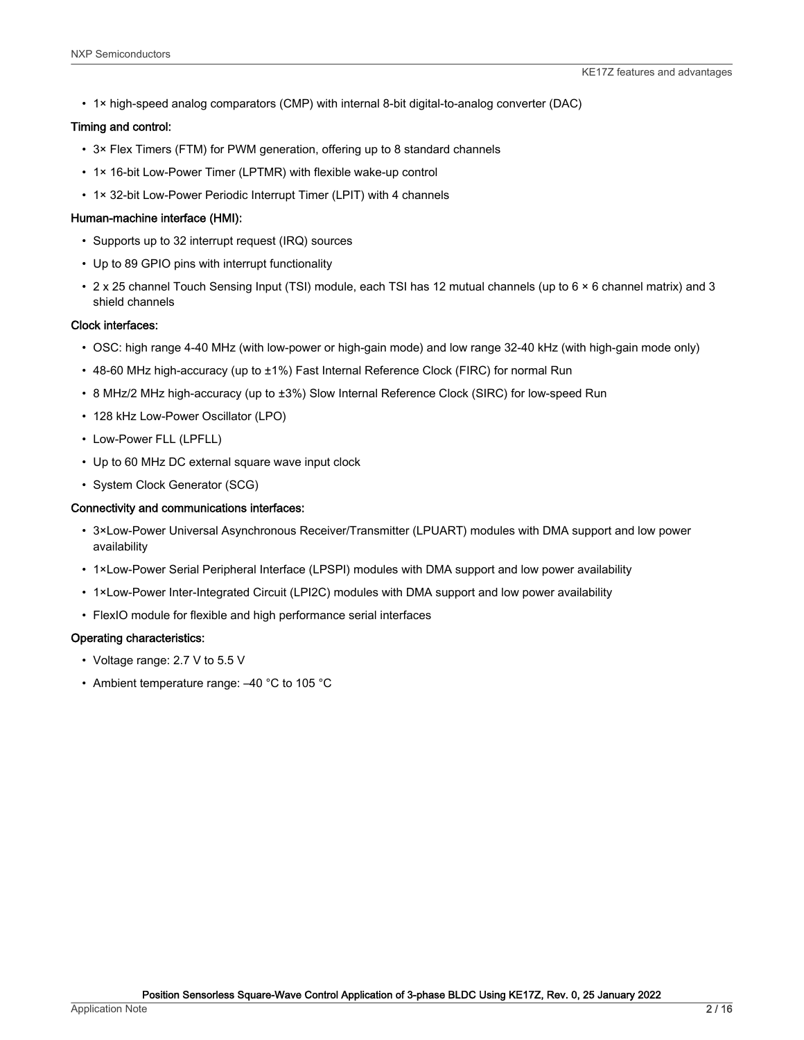• 1× high-speed analog comparators (CMP) with internal 8-bit digital-to-analog converter (DAC)

#### Timing and control:

- 3× Flex Timers (FTM) for PWM generation, offering up to 8 standard channels
- 1× 16-bit Low-Power Timer (LPTMR) with flexible wake-up control
- 1× 32-bit Low-Power Periodic Interrupt Timer (LPIT) with 4 channels

#### Human-machine interface (HMI):

- Supports up to 32 interrupt request (IRQ) sources
- Up to 89 GPIO pins with interrupt functionality
- 2 x 25 channel Touch Sensing Input (TSI) module, each TSI has 12 mutual channels (up to 6 × 6 channel matrix) and 3 shield channels

#### Clock interfaces:

- OSC: high range 4-40 MHz (with low-power or high-gain mode) and low range 32-40 kHz (with high-gain mode only)
- 48-60 MHz high-accuracy (up to ±1%) Fast Internal Reference Clock (FIRC) for normal Run
- 8 MHz/2 MHz high-accuracy (up to ±3%) Slow Internal Reference Clock (SIRC) for low-speed Run
- 128 kHz Low-Power Oscillator (LPO)
- Low-Power FLL (LPFLL)
- Up to 60 MHz DC external square wave input clock
- System Clock Generator (SCG)

#### Connectivity and communications interfaces:

- 3×Low-Power Universal Asynchronous Receiver/Transmitter (LPUART) modules with DMA support and low power availability
- 1×Low-Power Serial Peripheral Interface (LPSPI) modules with DMA support and low power availability
- 1×Low-Power Inter-Integrated Circuit (LPI2C) modules with DMA support and low power availability
- FlexIO module for flexible and high performance serial interfaces

#### Operating characteristics:

- Voltage range: 2.7 V to 5.5 V
- Ambient temperature range: –40 °C to 105 °C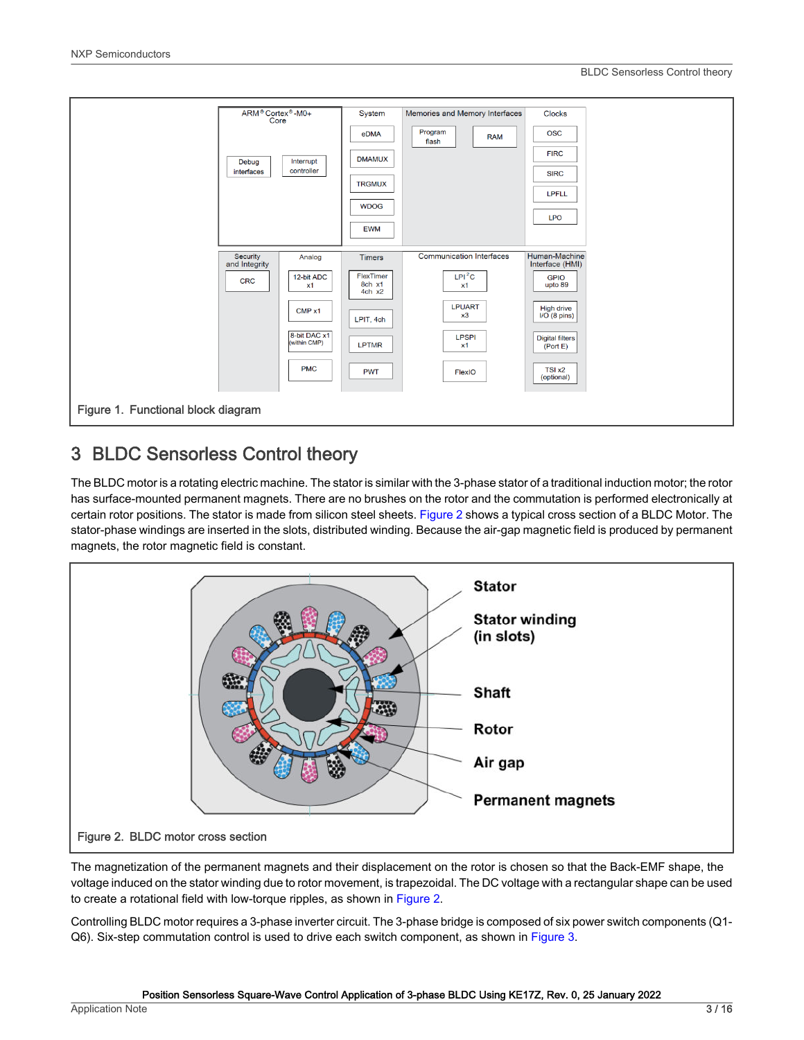<span id="page-2-0"></span>

# 3 BLDC Sensorless Control theory

The BLDC motor is a rotating electric machine. The stator is similar with the 3-phase stator of a traditional induction motor; the rotor has surface-mounted permanent magnets. There are no brushes on the rotor and the commutation is performed electronically at certain rotor positions. The stator is made from silicon steel sheets. Figure 2 shows a typical cross section of a BLDC Motor. The stator-phase windings are inserted in the slots, distributed winding. Because the air-gap magnetic field is produced by permanent magnets, the rotor magnetic field is constant.



The magnetization of the permanent magnets and their displacement on the rotor is chosen so that the Back-EMF shape, the voltage induced on the stator winding due to rotor movement, is trapezoidal. The DC voltage with a rectangular shape can be used to create a rotational field with low-torque ripples, as shown in Figure 2.

Controlling BLDC motor requires a 3-phase inverter circuit. The 3-phase bridge is composed of six power switch components (Q1- Q6). Six-step commutation control is used to drive each switch component, as shown in [Figure 3.](#page-3-0)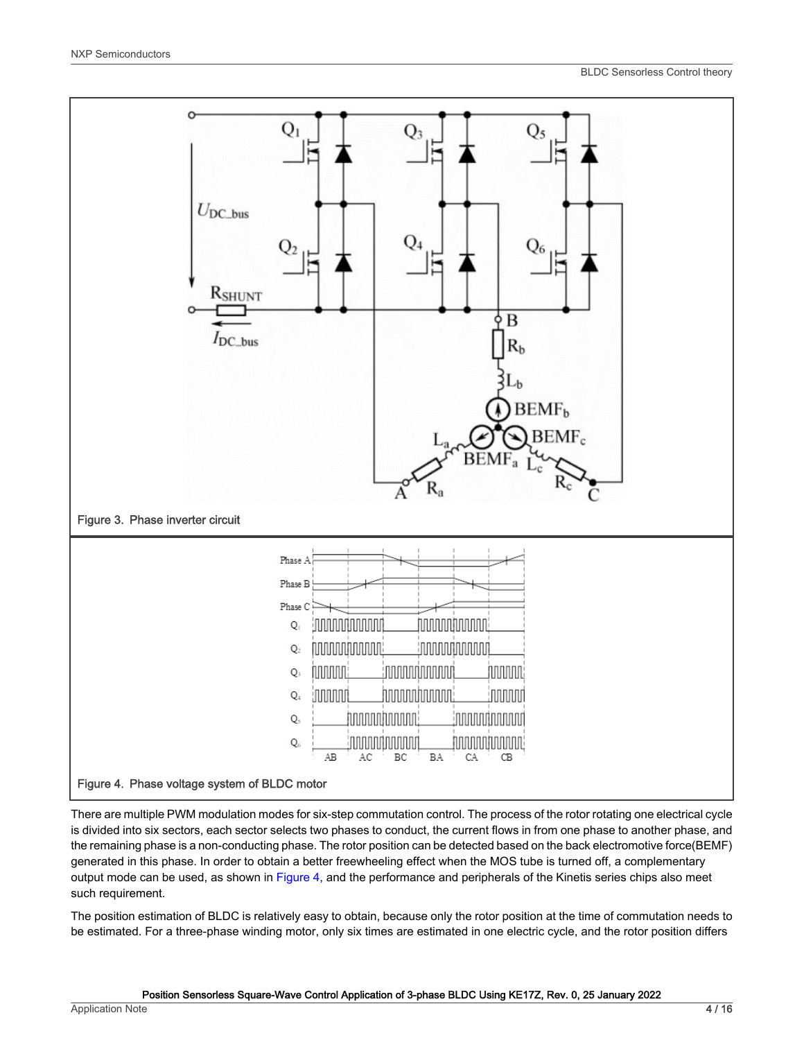<span id="page-3-0"></span>

There are multiple PWM modulation modes for six-step commutation control. The process of the rotor rotating one electrical cycle is divided into six sectors, each sector selects two phases to conduct, the current flows in from one phase to another phase, and the remaining phase is a non-conducting phase. The rotor position can be detected based on the back electromotive force(BEMF) generated in this phase. In order to obtain a better freewheeling effect when the MOS tube is turned off, a complementary output mode can be used, as shown in Figure 4, and the performance and peripherals of the Kinetis series chips also meet such requirement.

The position estimation of BLDC is relatively easy to obtain, because only the rotor position at the time of commutation needs to be estimated. For a three-phase winding motor, only six times are estimated in one electric cycle, and the rotor position differs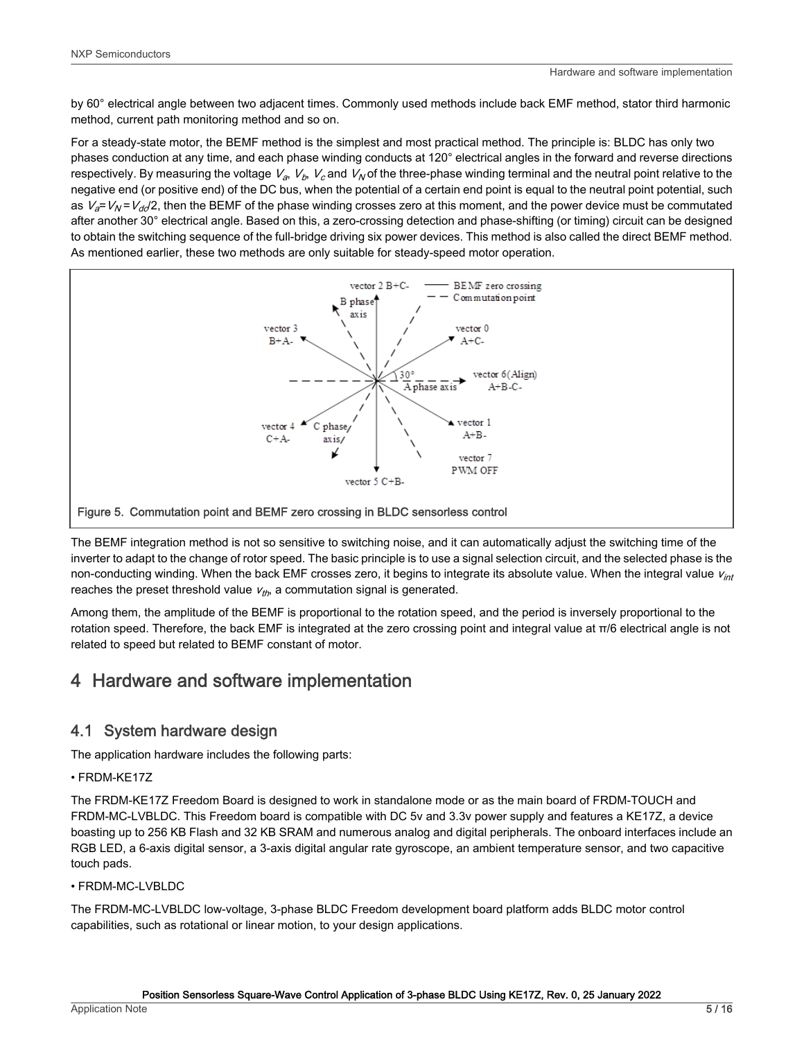<span id="page-4-0"></span>by 60° electrical angle between two adjacent times. Commonly used methods include back EMF method, stator third harmonic method, current path monitoring method and so on.

For a steady-state motor, the BEMF method is the simplest and most practical method. The principle is: BLDC has only two phases conduction at any time, and each phase winding conducts at 120° electrical angles in the forward and reverse directions respectively. By measuring the voltage  $V_a$ ,  $V_b$ ,  $V_c$  and  $V_N$  of the three-phase winding terminal and the neutral point relative to the negative end (or positive end) of the DC bus, when the potential of a certain end point is equal to the neutral point potential, such as  $V_d$ =  $V_N$ =  $V_{dd}/2$ , then the BEMF of the phase winding crosses zero at this moment, and the power device must be commutated after another 30° electrical angle. Based on this, a zero-crossing detection and phase-shifting (or timing) circuit can be designed to obtain the switching sequence of the full-bridge driving six power devices. This method is also called the direct BEMF method. As mentioned earlier, these two methods are only suitable for steady-speed motor operation.



The BEMF integration method is not so sensitive to switching noise, and it can automatically adjust the switching time of the inverter to adapt to the change of rotor speed. The basic principle is to use a signal selection circuit, and the selected phase is the non-conducting winding. When the back EMF crosses zero, it begins to integrate its absolute value. When the integral value  $v_{int}$ reaches the preset threshold value  $v_{th}$ , a commutation signal is generated.

Among them, the amplitude of the BEMF is proportional to the rotation speed, and the period is inversely proportional to the rotation speed. Therefore, the back EMF is integrated at the zero crossing point and integral value at π/6 electrical angle is not related to speed but related to BEMF constant of motor.

# 4 Hardware and software implementation

### 4.1 System hardware design

The application hardware includes the following parts:

• FRDM-KE17Z

The FRDM-KE17Z Freedom Board is designed to work in standalone mode or as the main board of FRDM-TOUCH and FRDM-MC-LVBLDC. This Freedom board is compatible with DC 5v and 3.3v power supply and features a KE17Z, a device boasting up to 256 KB Flash and 32 KB SRAM and numerous analog and digital peripherals. The onboard interfaces include an RGB LED, a 6-axis digital sensor, a 3-axis digital angular rate gyroscope, an ambient temperature sensor, and two capacitive touch pads.

• FRDM-MC-LVBLDC

The FRDM-MC-LVBLDC low-voltage, 3-phase BLDC Freedom development board platform adds BLDC motor control capabilities, such as rotational or linear motion, to your design applications.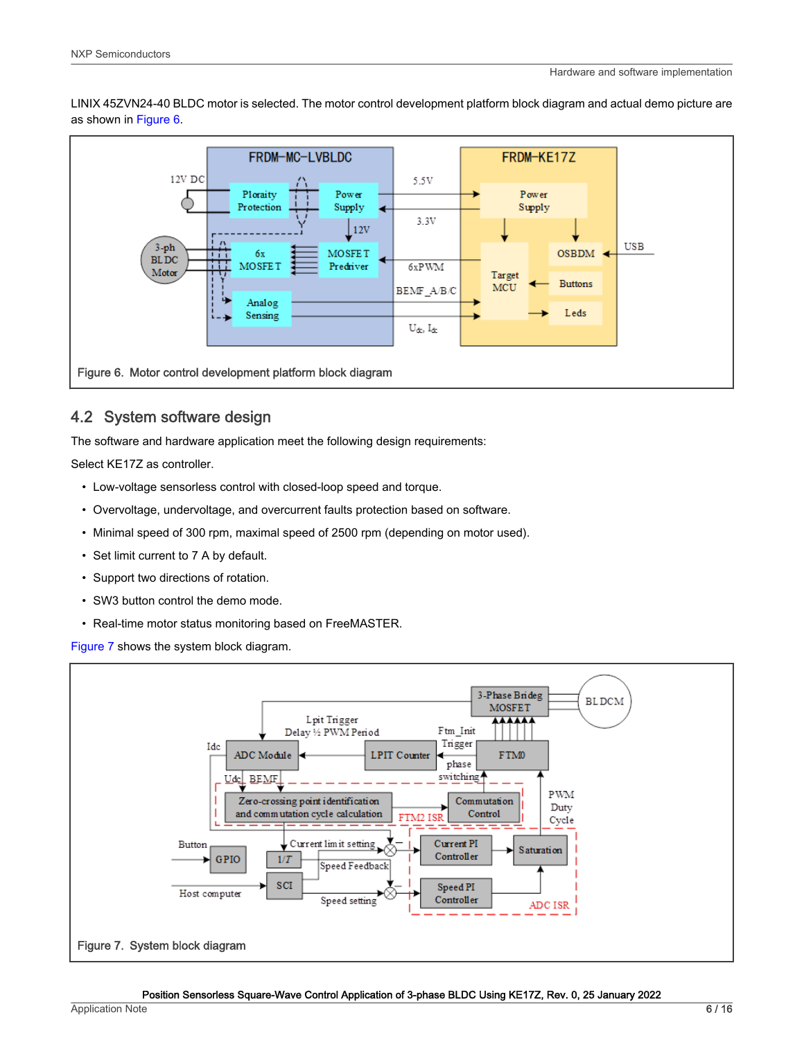LINIX 45ZVN24-40 BLDC motor is selected. The motor control development platform block diagram and actual demo picture are as shown in Figure 6.



### 4.2 System software design

The software and hardware application meet the following design requirements:

Select KE17Z as controller.

- Low-voltage sensorless control with closed-loop speed and torque.
- Overvoltage, undervoltage, and overcurrent faults protection based on software.
- Minimal speed of 300 rpm, maximal speed of 2500 rpm (depending on motor used).
- Set limit current to 7 A by default.
- Support two directions of rotation.
- SW3 button control the demo mode.
- Real-time motor status monitoring based on FreeMASTER.

Figure 7 shows the system block diagram.

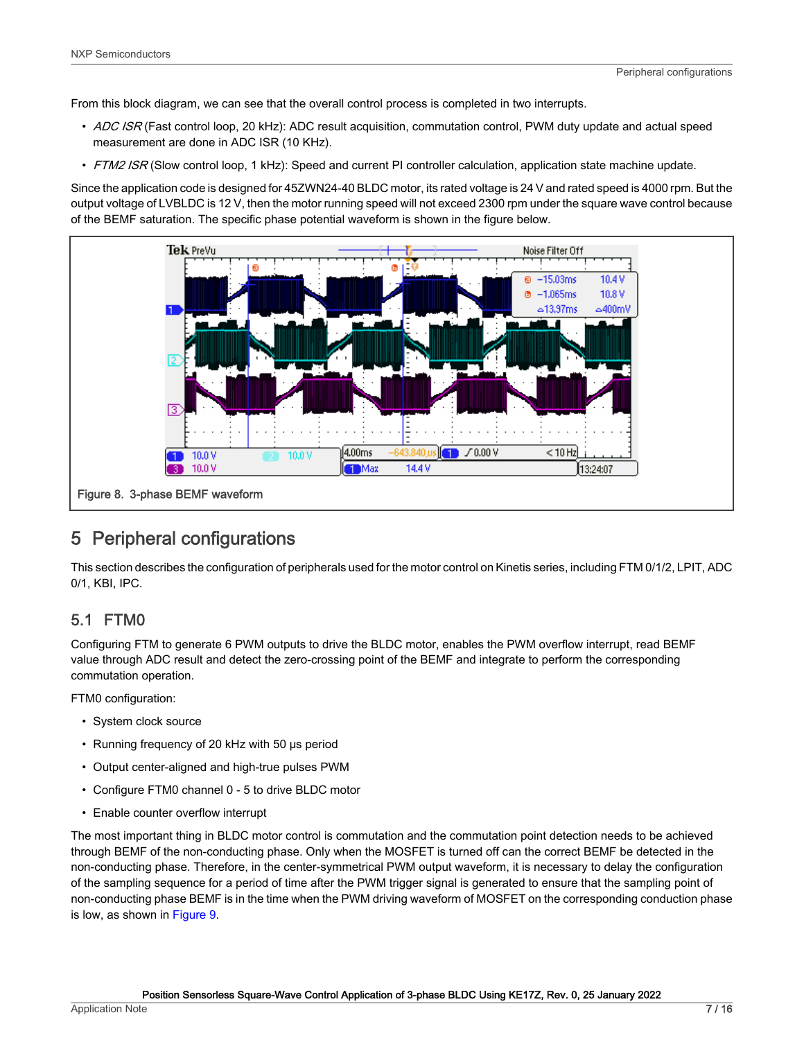<span id="page-6-0"></span>From this block diagram, we can see that the overall control process is completed in two interrupts.

- ADC ISR (Fast control loop, 20 kHz): ADC result acquisition, commutation control, PWM duty update and actual speed measurement are done in ADC ISR (10 KHz).
- FTM2 ISR (Slow control loop, 1 kHz): Speed and current PI controller calculation, application state machine update.

Since the application code is designed for 45ZWN24-40 BLDC motor, its rated voltage is 24 V and rated speed is 4000 rpm. But the output voltage of LVBLDC is 12 V, then the motor running speed will not exceed 2300 rpm under the square wave control because of the BEMF saturation. The specific phase potential waveform is shown in the figure below.



# 5 Peripheral configurations

This section describes the configuration of peripherals used for the motor control on Kinetis series, including FTM 0/1/2, LPIT, ADC 0/1, KBI, IPC.

### 5.1 FTM0

Configuring FTM to generate 6 PWM outputs to drive the BLDC motor, enables the PWM overflow interrupt, read BEMF value through ADC result and detect the zero-crossing point of the BEMF and integrate to perform the corresponding commutation operation.

FTM0 configuration:

- System clock source
- Running frequency of 20 kHz with 50 μs period
- Output center-aligned and high-true pulses PWM
- Configure FTM0 channel 0 5 to drive BLDC motor
- Enable counter overflow interrupt

The most important thing in BLDC motor control is commutation and the commutation point detection needs to be achieved through BEMF of the non-conducting phase. Only when the MOSFET is turned off can the correct BEMF be detected in the non-conducting phase. Therefore, in the center-symmetrical PWM output waveform, it is necessary to delay the configuration of the sampling sequence for a period of time after the PWM trigger signal is generated to ensure that the sampling point of non-conducting phase BEMF is in the time when the PWM driving waveform of MOSFET on the corresponding conduction phase is low, as shown in [Figure 9.](#page-7-0)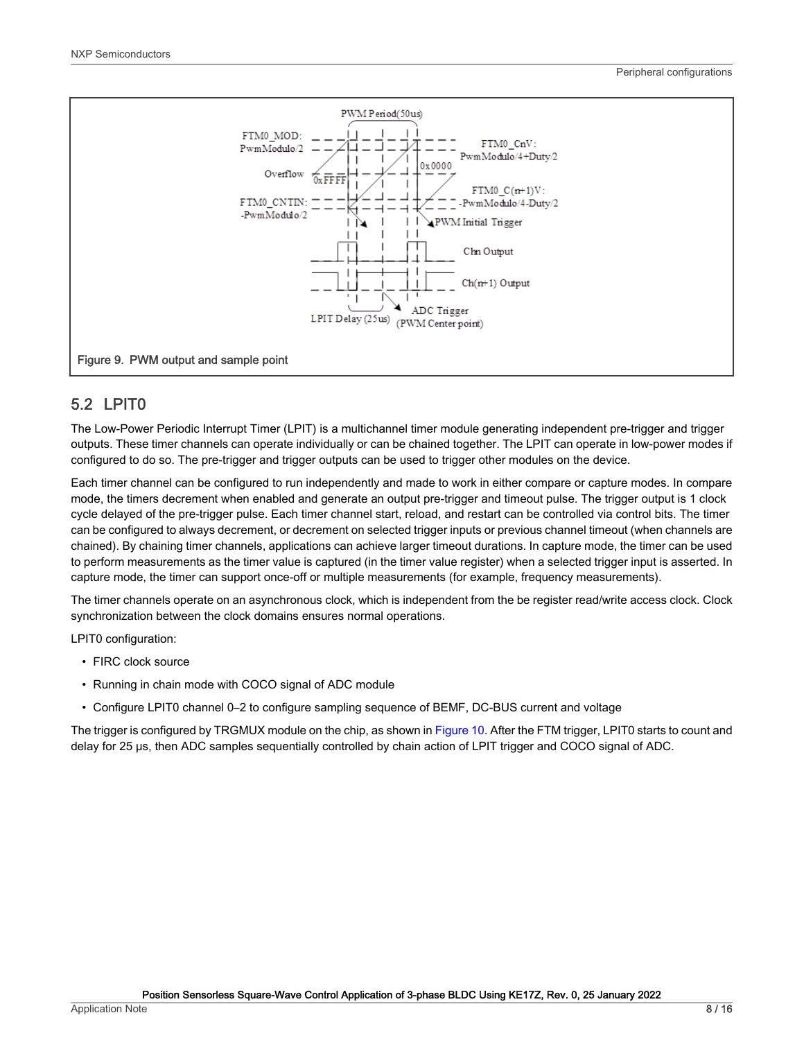<span id="page-7-0"></span>

### 5.2 LPIT0

The Low-Power Periodic Interrupt Timer (LPIT) is a multichannel timer module generating independent pre-trigger and trigger outputs. These timer channels can operate individually or can be chained together. The LPIT can operate in low-power modes if configured to do so. The pre-trigger and trigger outputs can be used to trigger other modules on the device.

Each timer channel can be configured to run independently and made to work in either compare or capture modes. In compare mode, the timers decrement when enabled and generate an output pre-trigger and timeout pulse. The trigger output is 1 clock cycle delayed of the pre-trigger pulse. Each timer channel start, reload, and restart can be controlled via control bits. The timer can be configured to always decrement, or decrement on selected trigger inputs or previous channel timeout (when channels are chained). By chaining timer channels, applications can achieve larger timeout durations. In capture mode, the timer can be used to perform measurements as the timer value is captured (in the timer value register) when a selected trigger input is asserted. In capture mode, the timer can support once-off or multiple measurements (for example, frequency measurements).

The timer channels operate on an asynchronous clock, which is independent from the be register read/write access clock. Clock synchronization between the clock domains ensures normal operations.

LPIT0 configuration:

- FIRC clock source
- Running in chain mode with COCO signal of ADC module
- Configure LPIT0 channel 0–2 to configure sampling sequence of BEMF, DC-BUS current and voltage

The trigger is configured by TRGMUX module on the chip, as shown in [Figure 10](#page-8-0). After the FTM trigger, LPIT0 starts to count and delay for 25 μs, then ADC samples sequentially controlled by chain action of LPIT trigger and COCO signal of ADC.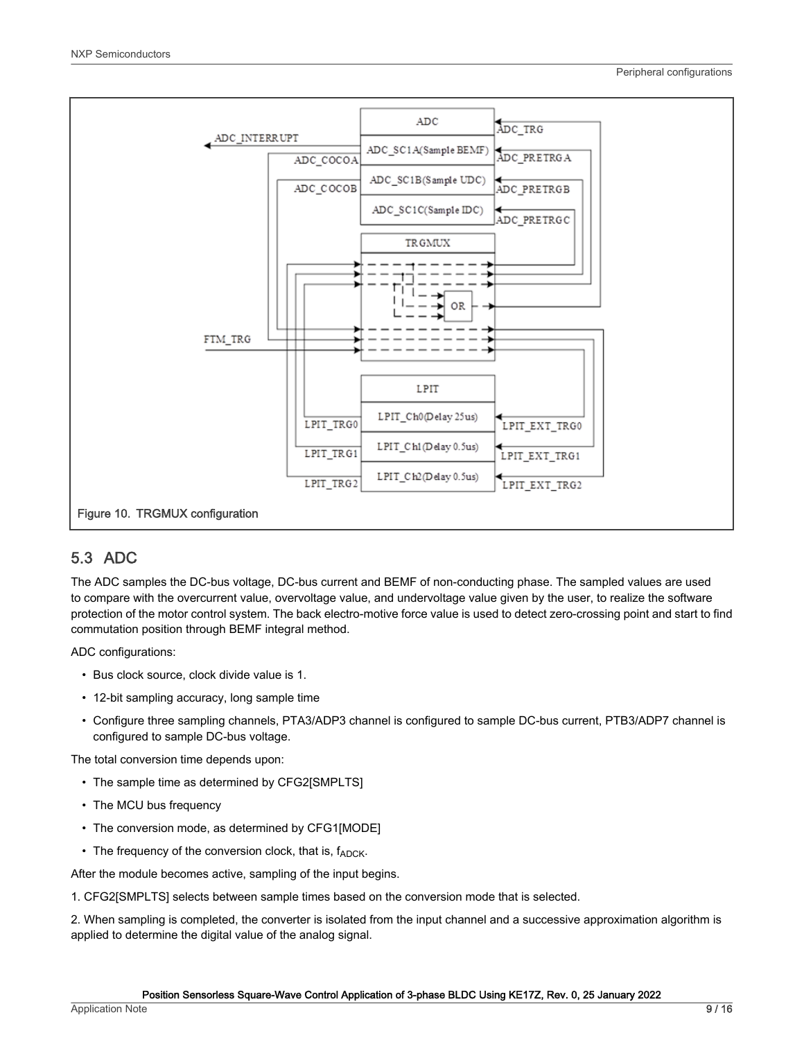<span id="page-8-0"></span>

### 5.3 ADC

The ADC samples the DC-bus voltage, DC-bus current and BEMF of non-conducting phase. The sampled values are used to compare with the overcurrent value, overvoltage value, and undervoltage value given by the user, to realize the software protection of the motor control system. The back electro-motive force value is used to detect zero-crossing point and start to find commutation position through BEMF integral method.

ADC configurations:

- Bus clock source, clock divide value is 1.
- 12-bit sampling accuracy, long sample time
- Configure three sampling channels, PTA3/ADP3 channel is configured to sample DC-bus current, PTB3/ADP7 channel is configured to sample DC-bus voltage.

The total conversion time depends upon:

- The sample time as determined by CFG2[SMPLTS]
- The MCU bus frequency
- The conversion mode, as determined by CFG1[MODE]
- The frequency of the conversion clock, that is,  $f_{ADC}$ .

After the module becomes active, sampling of the input begins.

1. CFG2[SMPLTS] selects between sample times based on the conversion mode that is selected.

2. When sampling is completed, the converter is isolated from the input channel and a successive approximation algorithm is applied to determine the digital value of the analog signal.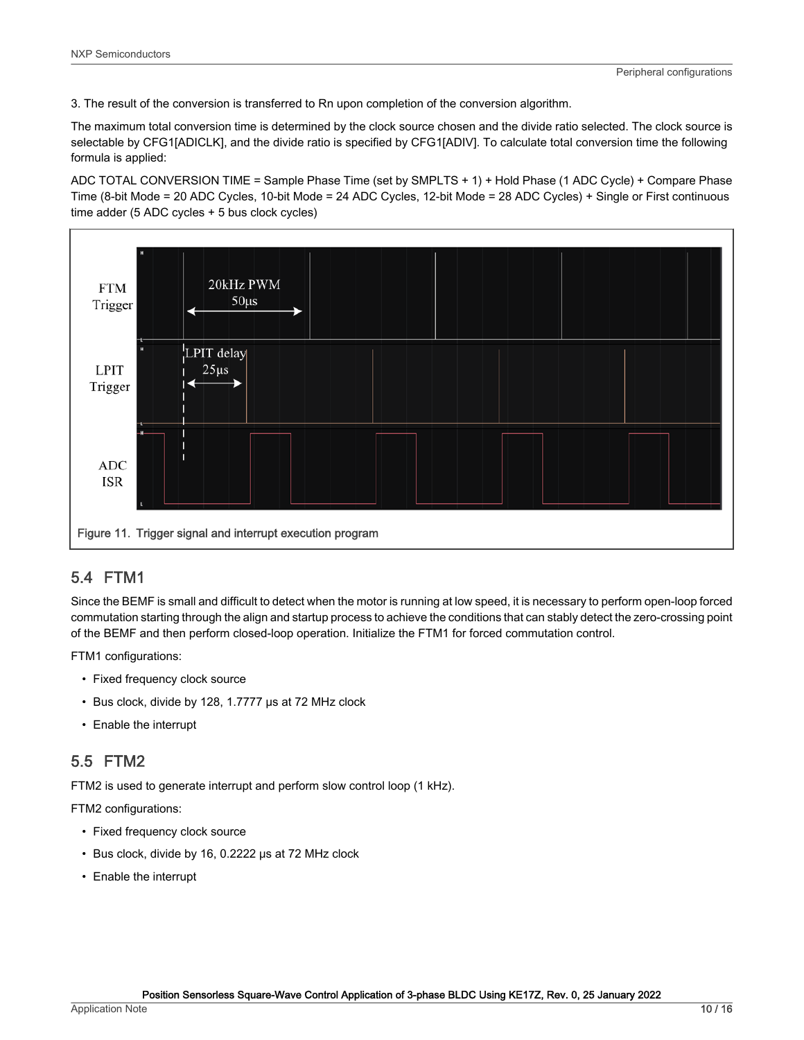3. The result of the conversion is transferred to Rn upon completion of the conversion algorithm.

The maximum total conversion time is determined by the clock source chosen and the divide ratio selected. The clock source is selectable by CFG1[ADICLK], and the divide ratio is specified by CFG1[ADIV]. To calculate total conversion time the following formula is applied:

ADC TOTAL CONVERSION TIME = Sample Phase Time (set by SMPLTS + 1) + Hold Phase (1 ADC Cycle) + Compare Phase Time (8-bit Mode = 20 ADC Cycles, 10-bit Mode = 24 ADC Cycles, 12-bit Mode = 28 ADC Cycles) + Single or First continuous time adder (5 ADC cycles + 5 bus clock cycles)



### 5.4 FTM1

Since the BEMF is small and difficult to detect when the motor is running at low speed, it is necessary to perform open-loop forced commutation starting through the align and startup process to achieve the conditions that can stably detect the zero-crossing point of the BEMF and then perform closed-loop operation. Initialize the FTM1 for forced commutation control.

FTM1 configurations:

- Fixed frequency clock source
- Bus clock, divide by 128, 1.7777 μs at 72 MHz clock
- Enable the interrupt

### 5.5 FTM2

FTM2 is used to generate interrupt and perform slow control loop (1 kHz).

FTM2 configurations:

- Fixed frequency clock source
- Bus clock, divide by 16, 0.2222 μs at 72 MHz clock
- Enable the interrupt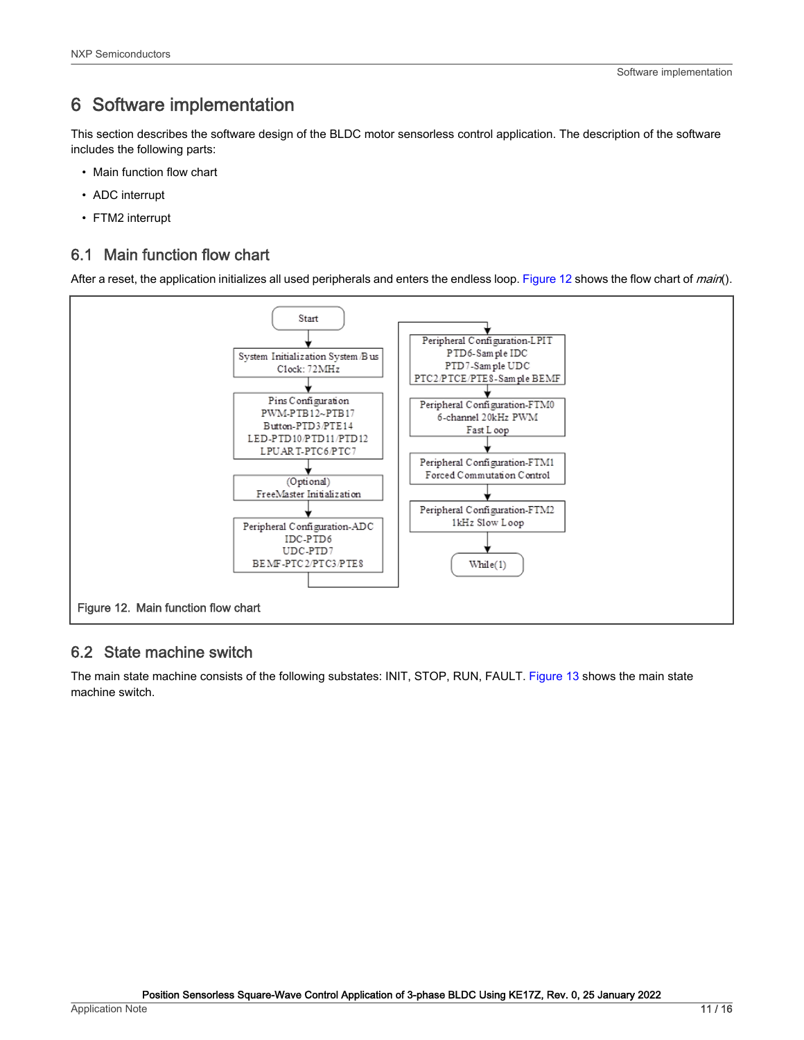# <span id="page-10-0"></span>6 Software implementation

This section describes the software design of the BLDC motor sensorless control application. The description of the software includes the following parts:

- Main function flow chart
- ADC interrupt
- FTM2 interrupt

### 6.1 Main function flow chart

After a reset, the application initializes all used peripherals and enters the endless loop. Figure 12 shows the flow chart of main().



### 6.2 State machine switch

The main state machine consists of the following substates: INIT, STOP, RUN, FAULT. [Figure 13](#page-11-0) shows the main state machine switch.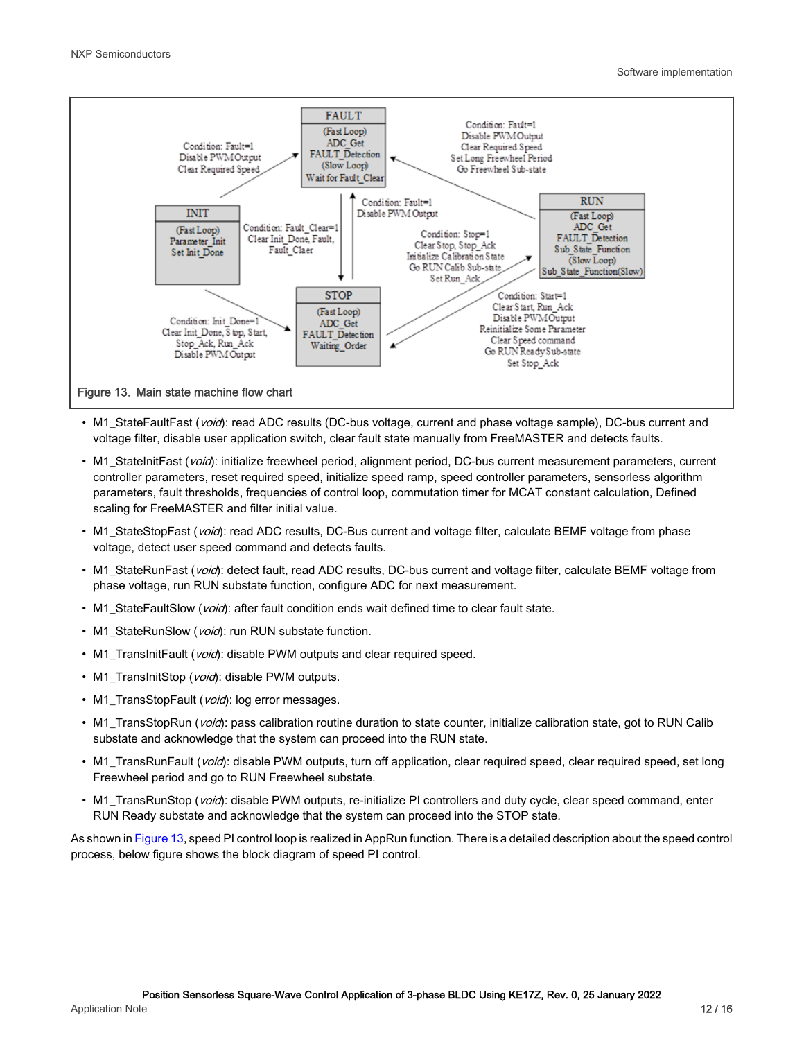<span id="page-11-0"></span>

- M1 StateFaultFast (void): read ADC results (DC-bus voltage, current and phase voltage sample), DC-bus current and voltage filter, disable user application switch, clear fault state manually from FreeMASTER and detects faults.
- M1\_StateInitFast (void): initialize freewheel period, alignment period, DC-bus current measurement parameters, current controller parameters, reset required speed, initialize speed ramp, speed controller parameters, sensorless algorithm parameters, fault thresholds, frequencies of control loop, commutation timer for MCAT constant calculation, Defined scaling for FreeMASTER and filter initial value.
- M1\_StateStopFast (void): read ADC results, DC-Bus current and voltage filter, calculate BEMF voltage from phase voltage, detect user speed command and detects faults.
- M1\_StateRunFast (void): detect fault, read ADC results, DC-bus current and voltage filter, calculate BEMF voltage from phase voltage, run RUN substate function, configure ADC for next measurement.
- M1 StateFaultSlow (void): after fault condition ends wait defined time to clear fault state.
- M1\_StateRunSlow (void): run RUN substate function.
- M1\_TransInitFault (*void*): disable PWM outputs and clear required speed.
- M1\_TransInitStop (void): disable PWM outputs.
- M1\_TransStopFault (void): log error messages.
- M1\_TransStopRun (void): pass calibration routine duration to state counter, initialize calibration state, got to RUN Calib substate and acknowledge that the system can proceed into the RUN state.
- M1 TransRunFault (void): disable PWM outputs, turn off application, clear required speed, clear required speed, set long Freewheel period and go to RUN Freewheel substate.
- M1\_TransRunStop (void): disable PWM outputs, re-initialize PI controllers and duty cycle, clear speed command, enter RUN Ready substate and acknowledge that the system can proceed into the STOP state.

As shown in Figure 13, speed PI control loop is realized in AppRun function. There is a detailed description about the speed control process, below figure shows the block diagram of speed PI control.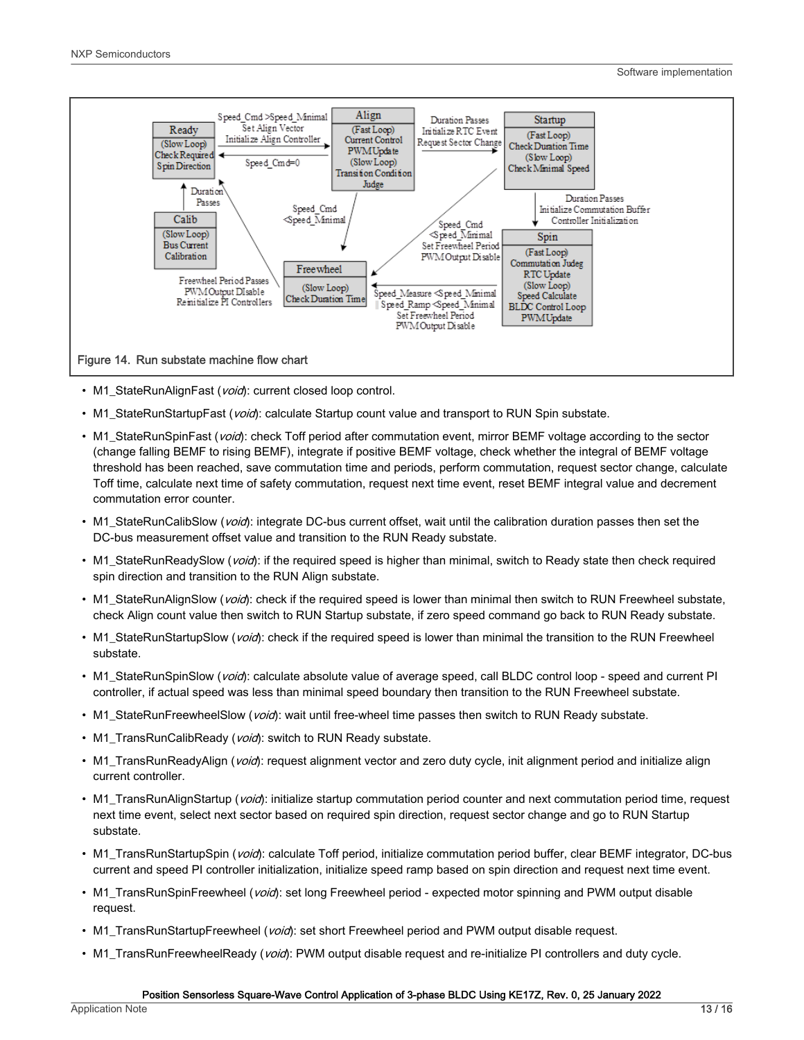

- M1\_StateRunAlignFast (void): current closed loop control.
- M1\_StateRunStartupFast (void): calculate Startup count value and transport to RUN Spin substate.
- M1\_StateRunSpinFast (void): check Toff period after commutation event, mirror BEMF voltage according to the sector (change falling BEMF to rising BEMF), integrate if positive BEMF voltage, check whether the integral of BEMF voltage threshold has been reached, save commutation time and periods, perform commutation, request sector change, calculate Toff time, calculate next time of safety commutation, request next time event, reset BEMF integral value and decrement commutation error counter.
- M1 StateRunCalibSlow (void): integrate DC-bus current offset, wait until the calibration duration passes then set the DC-bus measurement offset value and transition to the RUN Ready substate.
- M1 StateRunReadySlow (void): if the required speed is higher than minimal, switch to Ready state then check required spin direction and transition to the RUN Align substate.
- M1\_StateRunAlignSlow (void): check if the required speed is lower than minimal then switch to RUN Freewheel substate, check Align count value then switch to RUN Startup substate, if zero speed command go back to RUN Ready substate.
- M1\_StateRunStartupSlow (*void*): check if the required speed is lower than minimal the transition to the RUN Freewheel substate.
- M1\_StateRunSpinSlow (*void*): calculate absolute value of average speed, call BLDC control loop speed and current PI controller, if actual speed was less than minimal speed boundary then transition to the RUN Freewheel substate.
- M1\_StateRunFreewheelSlow (void): wait until free-wheel time passes then switch to RUN Ready substate.
- M1\_TransRunCalibReady (void): switch to RUN Ready substate.
- M1\_TransRunReadyAlign (void): request alignment vector and zero duty cycle, init alignment period and initialize align current controller.
- M1\_TransRunAlignStartup (void): initialize startup commutation period counter and next commutation period time, request next time event, select next sector based on required spin direction, request sector change and go to RUN Startup substate.
- M1\_TransRunStartupSpin (void): calculate Toff period, initialize commutation period buffer, clear BEMF integrator, DC-bus current and speed PI controller initialization, initialize speed ramp based on spin direction and request next time event.
- M1 TransRunSpinFreewheel (void): set long Freewheel period expected motor spinning and PWM output disable request.
- M1\_TransRunStartupFreewheel (void): set short Freewheel period and PWM output disable request.
- M1\_TransRunFreewheelReady (void): PWM output disable request and re-initialize PI controllers and duty cycle.

#### Position Sensorless Square-Wave Control Application of 3-phase BLDC Using KE17Z, Rev. 0, 25 January 2022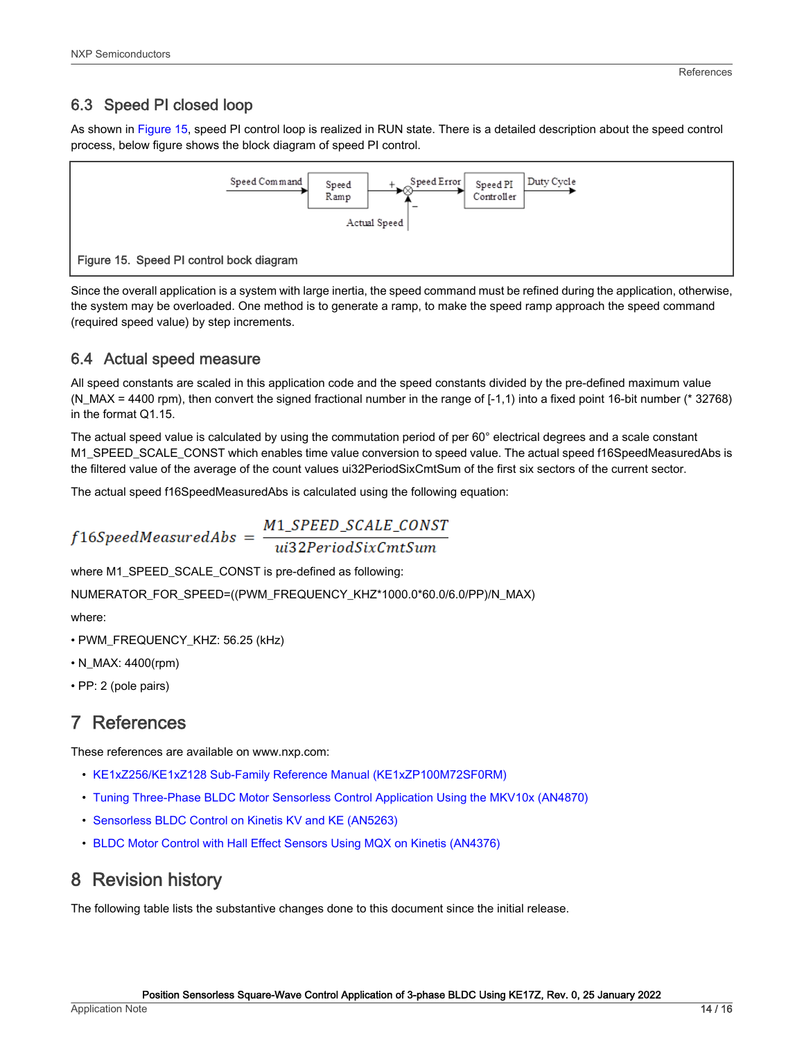### <span id="page-13-0"></span>6.3 Speed PI closed loop

As shown in Figure 15, speed PI control loop is realized in RUN state. There is a detailed description about the speed control process, below figure shows the block diagram of speed PI control.



Since the overall application is a system with large inertia, the speed command must be refined during the application, otherwise, the system may be overloaded. One method is to generate a ramp, to make the speed ramp approach the speed command (required speed value) by step increments.

### 6.4 Actual speed measure

All speed constants are scaled in this application code and the speed constants divided by the pre-defined maximum value (N\_MAX = 4400 rpm), then convert the signed fractional number in the range of [-1,1) into a fixed point 16-bit number (\* 32768) in the format Q1.15.

The actual speed value is calculated by using the commutation period of per 60° electrical degrees and a scale constant M1\_SPEED\_SCALE\_CONST which enables time value conversion to speed value. The actual speed f16SpeedMeasuredAbs is the filtered value of the average of the count values ui32PeriodSixCmtSum of the first six sectors of the current sector.

The actual speed f16SpeedMeasuredAbs is calculated using the following equation:

$$
f16 Speed Measured Abs = \frac{M1\_SPEED\_SCALE\_CONST}{ui32 PeriodSixCmtSum}
$$

where M1\_SPEED\_SCALE\_CONST is pre-defined as following:

NUMERATOR\_FOR\_SPEED=((PWM\_FREQUENCY\_KHZ\*1000.0\*60.0/6.0/PP)/N\_MAX)

where:

- PWM\_FREQUENCY\_KHZ: 56.25 (kHz)
- N\_MAX: 4400(rpm)
- PP: 2 (pole pairs)

# 7 References

These references are available on www.nxp.com:

- [KE1xZ256/KE1xZ128 Sub-Family Reference Manual \(KE1xZP100M72SF0RM\)](https://www.nxp.com/webapp/Download?colCode=KE1XZP100M72SF0RM)
- [Tuning Three-Phase BLDC Motor Sensorless Control Application Using the MKV10x \(AN4870\)](https://www.nxp.com/doc/AN4870)
- [Sensorless BLDC Control on Kinetis KV and KE \(AN5263\)](https://www.nxp.com/doc/AN5263)
- [BLDC Motor Control with Hall Effect Sensors Using MQX on Kinetis \(AN4376\)](https://www.nxp.com/doc/AN4376)

## 8 Revision history

The following table lists the substantive changes done to this document since the initial release.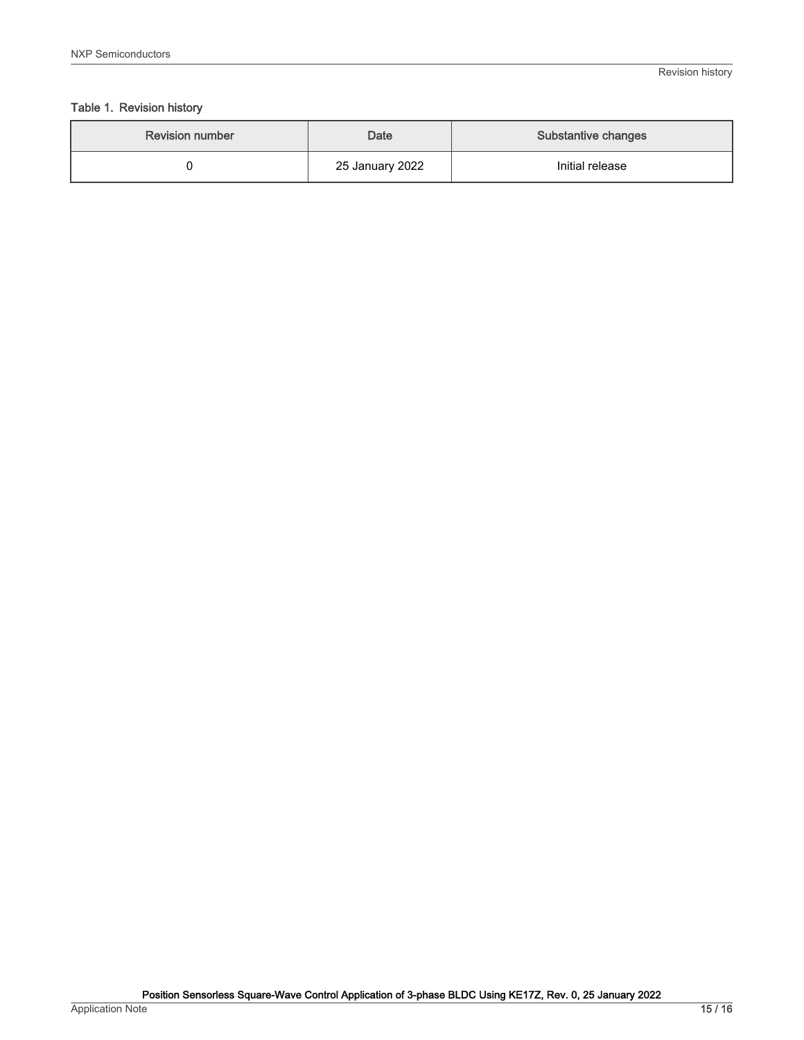### Table 1. Revision history

| <b>Revision number</b> | <b>Date</b>     | <b>Substantive changes</b> |
|------------------------|-----------------|----------------------------|
|                        | 25 January 2022 | Initial release            |